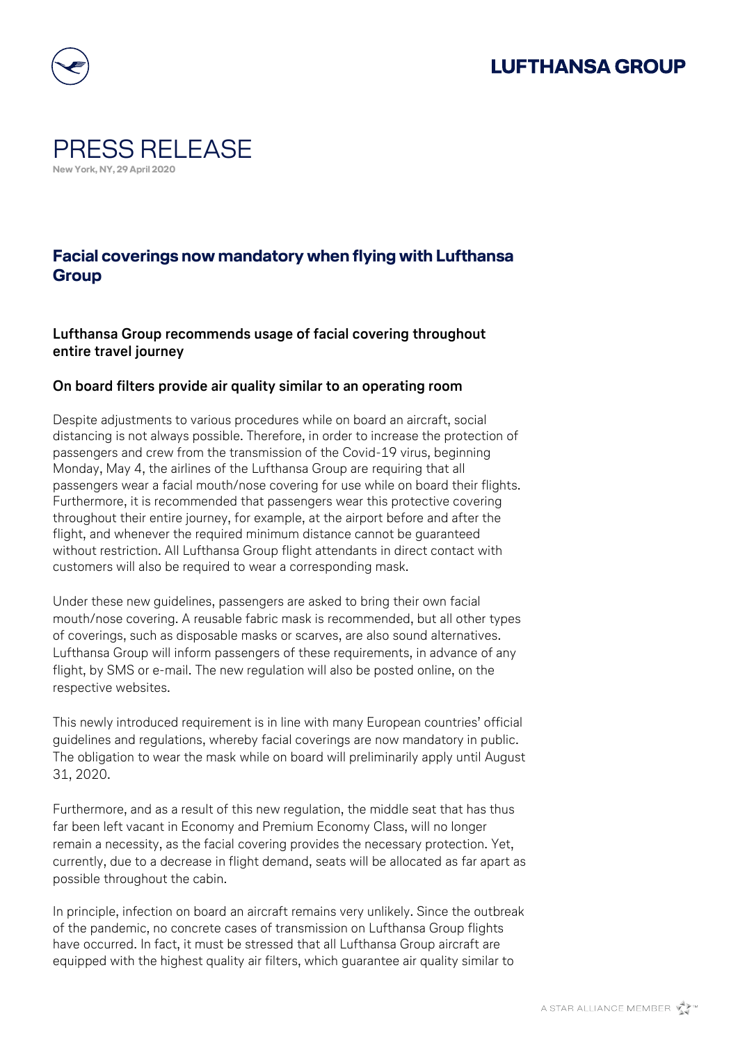## **LUFTHANSA GROUP**



### PRESS RELEASE **New York, NY, 29 April 2020**

### **Facial coverings now mandatory when flying with Lufthansa Group**

#### **Lufthansa Group recommends usage of facial covering throughout entire travel journey**

#### **On board filters provide air quality similar to an operating room**

Despite adjustments to various procedures while on board an aircraft, social distancing is not always possible. Therefore, in order to increase the protection of passengers and crew from the transmission of the Covid-19 virus, beginning Monday, May 4, the airlines of the Lufthansa Group are requiring that all passengers wear a facial mouth/nose covering for use while on board their flights. Furthermore, it is recommended that passengers wear this protective covering throughout their entire journey, for example, at the airport before and after the flight, and whenever the required minimum distance cannot be guaranteed without restriction. All Lufthansa Group flight attendants in direct contact with customers will also be required to wear a corresponding mask.

Under these new guidelines, passengers are asked to bring their own facial mouth/nose covering. A reusable fabric mask is recommended, but all other types of coverings, such as disposable masks or scarves, are also sound alternatives. Lufthansa Group will inform passengers of these requirements, in advance of any flight, by SMS or e-mail. The new regulation will also be posted online, on the respective websites.

This newly introduced requirement is in line with many European countries' official guidelines and regulations, whereby facial coverings are now mandatory in public. The obligation to wear the mask while on board will preliminarily apply until August 31, 2020.

Furthermore, and as a result of this new regulation, the middle seat that has thus far been left vacant in Economy and Premium Economy Class, will no longer remain a necessity, as the facial covering provides the necessary protection. Yet, currently, due to a decrease in flight demand, seats will be allocated as far apart as possible throughout the cabin.

In principle, infection on board an aircraft remains very unlikely. Since the outbreak of the pandemic, no concrete cases of transmission on Lufthansa Group flights have occurred. In fact, it must be stressed that all Lufthansa Group aircraft are equipped with the highest quality air filters, which guarantee air quality similar to